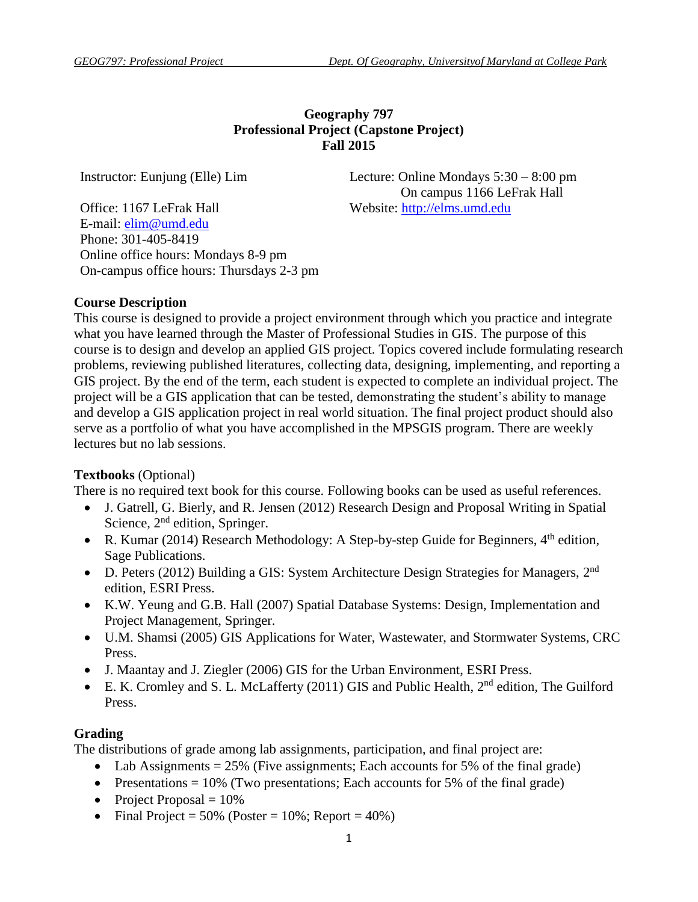# **Geography 797 Professional Project (Capstone Project) Fall 2015**

Instructor: Eunjung (Elle) Lim Lecture: Online Mondays 5:30 – 8:00 pm On campus 1166 LeFrak Hall

Office: 1167 LeFrak Hall Website: [http://elms.umd.edu](http://elms.umd.edu/) E-mail: [elim@umd.edu](mailto:elim@umd.edu) Phone: 301-405-8419 Online office hours: Mondays 8-9 pm On-campus office hours: Thursdays 2-3 pm

### **Course Description**

This course is designed to provide a project environment through which you practice and integrate what you have learned through the Master of Professional Studies in GIS. The purpose of this course is to design and develop an applied GIS project. Topics covered include formulating research problems, reviewing published literatures, collecting data, designing, implementing, and reporting a GIS project. By the end of the term, each student is expected to complete an individual project. The project will be a GIS application that can be tested, demonstrating the student's ability to manage and develop a GIS application project in real world situation. The final project product should also serve as a portfolio of what you have accomplished in the MPSGIS program. There are weekly lectures but no lab sessions.

### **Textbooks** (Optional)

There is no required text book for this course. Following books can be used as useful references.

- J. Gatrell, G. Bierly, and R. Jensen (2012) Research Design and Proposal Writing in Spatial Science, 2<sup>nd</sup> edition, Springer.
- R. Kumar (2014) Research Methodology: A Step-by-step Guide for Beginners,  $4<sup>th</sup>$  edition, Sage Publications.
- D. Peters (2012) Building a GIS: System Architecture Design Strategies for Managers, 2<sup>nd</sup> edition, ESRI Press.
- K.W. Yeung and G.B. Hall (2007) Spatial Database Systems: Design, Implementation and Project Management, Springer.
- U.M. Shamsi (2005) GIS Applications for Water, Wastewater, and Stormwater Systems, CRC Press.
- J. Maantay and J. Ziegler (2006) GIS for the Urban Environment, ESRI Press.
- E. K. Cromley and S. L. McLafferty (2011) GIS and Public Health, 2<sup>nd</sup> edition, The Guilford Press.

# **Grading**

The distributions of grade among lab assignments, participation, and final project are:

- Lab Assignments  $= 25\%$  (Five assignments; Each accounts for 5% of the final grade)
- Presentations  $= 10\%$  (Two presentations; Each accounts for 5% of the final grade)
- Project Proposal  $= 10\%$
- Final Project =  $50\%$  (Poster =  $10\%$ ; Report =  $40\%$ )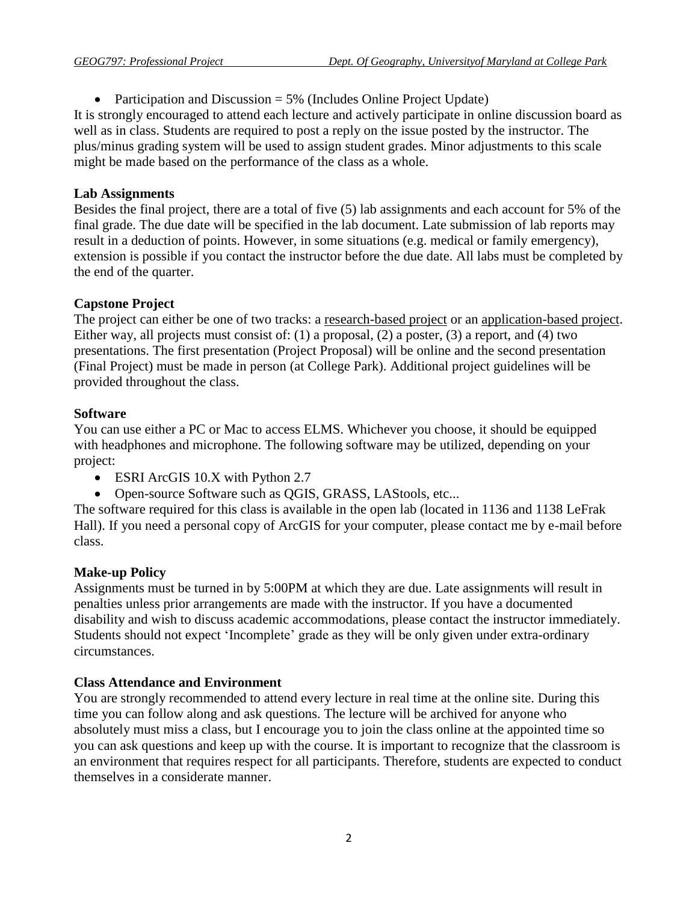• Participation and Discussion  $= 5\%$  (Includes Online Project Update)

It is strongly encouraged to attend each lecture and actively participate in online discussion board as well as in class. Students are required to post a reply on the issue posted by the instructor. The plus/minus grading system will be used to assign student grades. Minor adjustments to this scale might be made based on the performance of the class as a whole.

## **Lab Assignments**

Besides the final project, there are a total of five (5) lab assignments and each account for 5% of the final grade. The due date will be specified in the lab document. Late submission of lab reports may result in a deduction of points. However, in some situations (e.g. medical or family emergency), extension is possible if you contact the instructor before the due date. All labs must be completed by the end of the quarter.

# **Capstone Project**

The project can either be one of two tracks: a research-based project or an application-based project. Either way, all projects must consist of: (1) a proposal, (2) a poster, (3) a report, and (4) two presentations. The first presentation (Project Proposal) will be online and the second presentation (Final Project) must be made in person (at College Park). Additional project guidelines will be provided throughout the class.

## **Software**

You can use either a PC or Mac to access ELMS. Whichever you choose, it should be equipped with headphones and microphone. The following software may be utilized, depending on your project:

- ESRI ArcGIS 10.X with Python 2.7
- Open-source Software such as QGIS, GRASS, LAStools, etc...

The software required for this class is available in the open lab (located in 1136 and 1138 LeFrak Hall). If you need a personal copy of ArcGIS for your computer, please contact me by e-mail before class.

# **Make-up Policy**

Assignments must be turned in by 5:00PM at which they are due. Late assignments will result in penalties unless prior arrangements are made with the instructor. If you have a documented disability and wish to discuss academic accommodations, please contact the instructor immediately. Students should not expect 'Incomplete' grade as they will be only given under extra-ordinary circumstances.

# **Class Attendance and Environment**

You are strongly recommended to attend every lecture in real time at the online site. During this time you can follow along and ask questions. The lecture will be archived for anyone who absolutely must miss a class, but I encourage you to join the class online at the appointed time so you can ask questions and keep up with the course. It is important to recognize that the classroom is an environment that requires respect for all participants. Therefore, students are expected to conduct themselves in a considerate manner.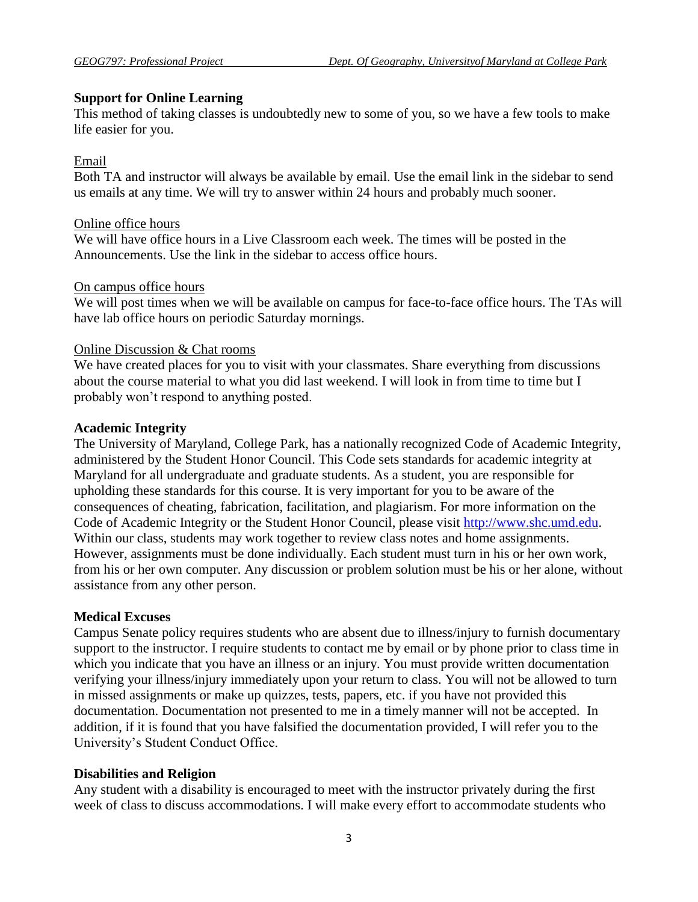### **Support for Online Learning**

This method of taking classes is undoubtedly new to some of you, so we have a few tools to make life easier for you.

### Email

Both TA and instructor will always be available by email. Use the email link in the sidebar to send us emails at any time. We will try to answer within 24 hours and probably much sooner.

### Online office hours

We will have office hours in a Live Classroom each week. The times will be posted in the Announcements. Use the link in the sidebar to access office hours.

#### On campus office hours

We will post times when we will be available on campus for face-to-face office hours. The TAs will have lab office hours on periodic Saturday mornings.

### Online Discussion & Chat rooms

We have created places for you to visit with your classmates. Share everything from discussions about the course material to what you did last weekend. I will look in from time to time but I probably won't respond to anything posted.

### **Academic Integrity**

The University of Maryland, College Park, has a nationally recognized Code of Academic Integrity, administered by the Student Honor Council. This Code sets standards for academic integrity at Maryland for all undergraduate and graduate students. As a student, you are responsible for upholding these standards for this course. It is very important for you to be aware of the consequences of cheating, fabrication, facilitation, and plagiarism. For more information on the Code of Academic Integrity or the Student Honor Council, please visit [http://www.shc.umd.edu.](http://www.shc.umd.edu/) Within our class, students may work together to review class notes and home assignments. However, assignments must be done individually. Each student must turn in his or her own work, from his or her own computer. Any discussion or problem solution must be his or her alone, without assistance from any other person.

### **Medical Excuses**

Campus Senate policy requires students who are absent due to illness/injury to furnish documentary support to the instructor. I require students to contact me by email or by phone prior to class time in which you indicate that you have an illness or an injury. You must provide written documentation verifying your illness/injury immediately upon your return to class. You will not be allowed to turn in missed assignments or make up quizzes, tests, papers, etc. if you have not provided this documentation. Documentation not presented to me in a timely manner will not be accepted. In addition, if it is found that you have falsified the documentation provided, I will refer you to the University's Student Conduct Office.

### **Disabilities and Religion**

Any student with a disability is encouraged to meet with the instructor privately during the first week of class to discuss accommodations. I will make every effort to accommodate students who